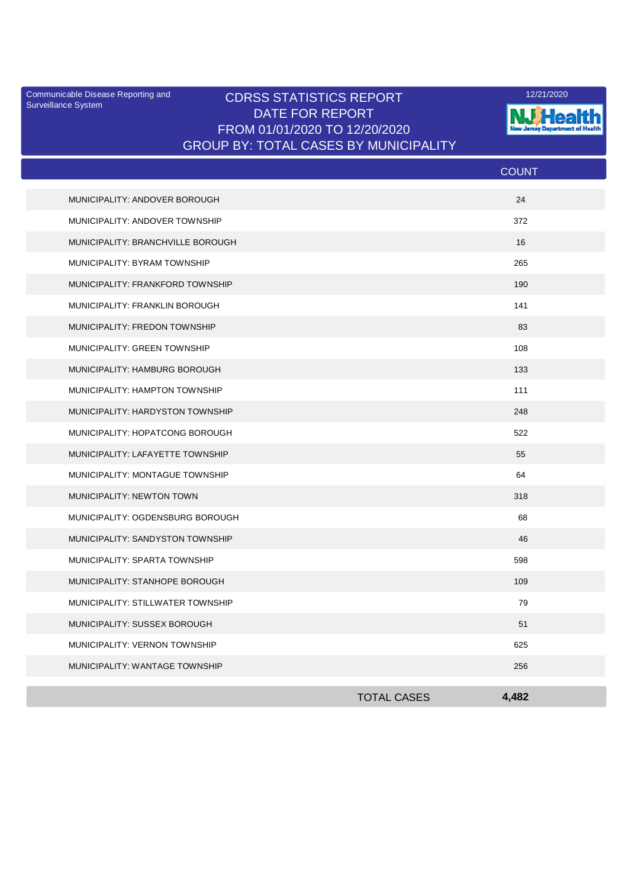Surveillance System

## Communicable Disease Reporting and **CDRSS STATISTICS REPORT** 12/21/2020<br>Surveillance Statem DATE FOR REPORT FROM 01/01/2020 TO 12/20/2020 GROUP BY: TOTAL CASES BY MUNICIPALITY



|                                   |                    | <b>COUNT</b> |  |
|-----------------------------------|--------------------|--------------|--|
| MUNICIPALITY: ANDOVER BOROUGH     |                    | 24           |  |
| MUNICIPALITY: ANDOVER TOWNSHIP    |                    | 372          |  |
| MUNICIPALITY: BRANCHVILLE BOROUGH |                    | 16           |  |
| MUNICIPALITY: BYRAM TOWNSHIP      |                    | 265          |  |
| MUNICIPALITY: FRANKFORD TOWNSHIP  |                    | 190          |  |
| MUNICIPALITY: FRANKLIN BOROUGH    |                    | 141          |  |
| MUNICIPALITY: FREDON TOWNSHIP     |                    | 83           |  |
| MUNICIPALITY: GREEN TOWNSHIP      |                    | 108          |  |
| MUNICIPALITY: HAMBURG BOROUGH     |                    | 133          |  |
| MUNICIPALITY: HAMPTON TOWNSHIP    |                    | 111          |  |
| MUNICIPALITY: HARDYSTON TOWNSHIP  |                    | 248          |  |
| MUNICIPALITY: HOPATCONG BOROUGH   |                    | 522          |  |
| MUNICIPALITY: LAFAYETTE TOWNSHIP  |                    | 55           |  |
| MUNICIPALITY: MONTAGUE TOWNSHIP   |                    | 64           |  |
| MUNICIPALITY: NEWTON TOWN         |                    | 318          |  |
| MUNICIPALITY: OGDENSBURG BOROUGH  |                    | 68           |  |
| MUNICIPALITY: SANDYSTON TOWNSHIP  |                    | 46           |  |
| MUNICIPALITY: SPARTA TOWNSHIP     |                    | 598          |  |
| MUNICIPALITY: STANHOPE BOROUGH    |                    | 109          |  |
| MUNICIPALITY: STILLWATER TOWNSHIP |                    | 79           |  |
| MUNICIPALITY: SUSSEX BOROUGH      |                    | 51           |  |
| MUNICIPALITY: VERNON TOWNSHIP     |                    | 625          |  |
| MUNICIPALITY: WANTAGE TOWNSHIP    |                    | 256          |  |
|                                   | <b>TOTAL CASES</b> |              |  |
|                                   |                    | 4.482        |  |